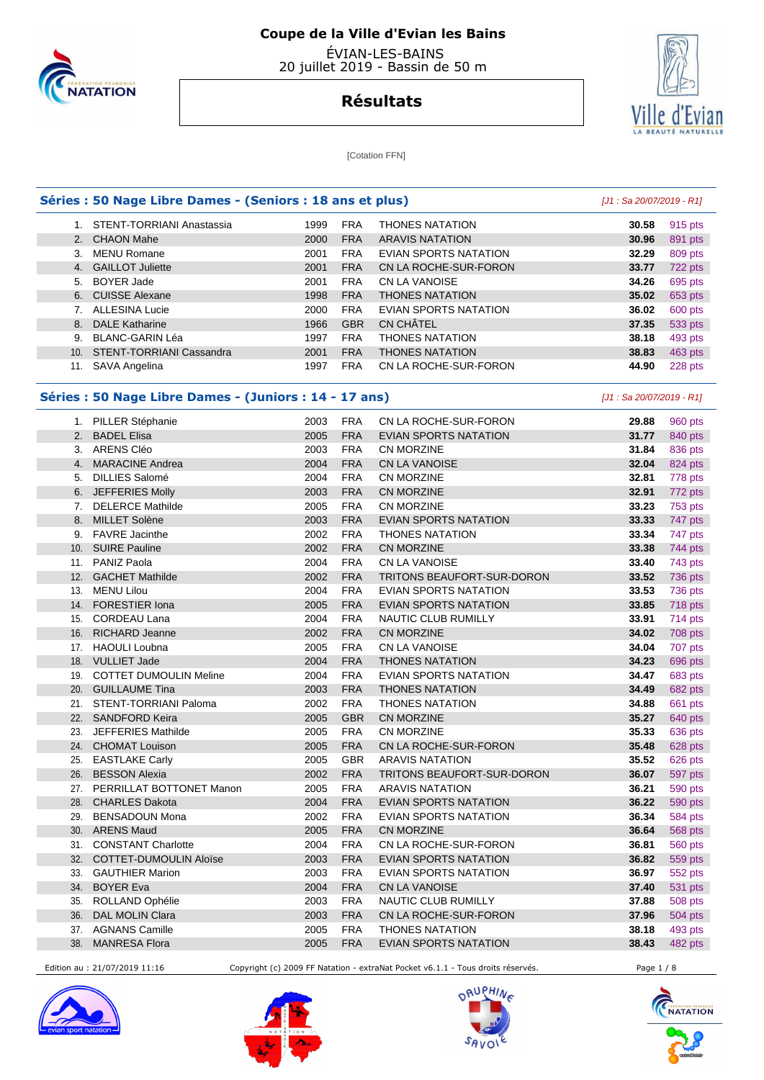

 ÉVIAN-LES-BAINS 20 juillet 2019 - Bassin de 50 m



#### **Résultats**

[Cotation FFN]

#### **Séries : 50 Nage Libre Dames - (Seniors : 18 ans et plus) [J1 : Sa 20/07/2019 - R1]**  1. STENT-TORRIANI Anastassia 1999 FRA THONES NATATION **30.58** 915 pts 2. CHAON Mahe 2000 FRA ARAVIS NATATION **30.96** 891 pts 3. MENU Romane 2001 FRA EVIAN SPORTS NATATION **32.29** 809 pts 4. GAILLOT Juliette 2001 FRA CN LA ROCHE-SUR-FORON **33.77** 722 pts 5. BOYER Jade 2001 FRA CN LA VANOISE **34.26** 695 pts 6. CUISSE Alexane 1998 FRA THONES NATATION **35.02** 653 pts 7. ALLESINA Lucie 2000 FRA EVIAN SPORTS NATATION **36.02** 600 pts 8. DALE Katharine 1966 GBR CN CHÂTEL **37.35** 533 pts 9. BLANC-GARIN Léa 1997 FRA THONES NATATION **38.18** 493 pts 10. STENT-TORRIANI Cassandra 2001 FRA THONES NATATION **38.83** 463 pts 11. SAVA Angelina 1997 FRA CN LA ROCHE-SUR-FORON **44.90** 228 pts

#### **Séries : 50 Nage Libre Dames - (Juniors : 14 - 17 ans)** [J1 : Sa 20/07/2019 - R1]

|     | 1. PILLER Stéphanie           | 2003 | <b>FRA</b> | CN LA ROCHE-SUR-FORON        | 29.88 | 960 pts        |
|-----|-------------------------------|------|------------|------------------------------|-------|----------------|
|     | 2. BADEL Elisa                | 2005 | <b>FRA</b> | <b>EVIAN SPORTS NATATION</b> | 31.77 | 840 pts        |
|     | 3. ARENS Cléo                 | 2003 | <b>FRA</b> | CN MORZINE                   | 31.84 | 836 pts        |
| 4.  | <b>MARACINE Andrea</b>        | 2004 | <b>FRA</b> | CN LA VANOISE                | 32.04 | 824 pts        |
| 5.  | <b>DILLIES Salomé</b>         | 2004 | <b>FRA</b> | CN MORZINE                   | 32.81 | 778 pts        |
| 6.  | JEFFERIES Molly               | 2003 | <b>FRA</b> | CN MORZINE                   | 32.91 | 772 pts        |
| 7.  | <b>DELERCE Mathilde</b>       | 2005 | <b>FRA</b> | CN MORZINE                   | 33.23 | 753 pts        |
| 8.  | MILLET Solène                 | 2003 | <b>FRA</b> | <b>EVIAN SPORTS NATATION</b> | 33.33 | 747 pts        |
| 9.  | <b>FAVRE</b> Jacinthe         | 2002 | <b>FRA</b> | <b>THONES NATATION</b>       | 33.34 | 747 pts        |
| 10. | <b>SUIRE Pauline</b>          | 2002 | <b>FRA</b> | CN MORZINE                   | 33.38 | 744 pts        |
| 11. | PANIZ Paola                   | 2004 | <b>FRA</b> | CN LA VANOISE                | 33.40 | 743 pts        |
| 12. | <b>GACHET Mathilde</b>        | 2002 | <b>FRA</b> | TRITONS BEAUFORT-SUR-DORON   | 33.52 | 736 pts        |
| 13. | <b>MENU Lilou</b>             | 2004 | <b>FRA</b> | <b>EVIAN SPORTS NATATION</b> | 33.53 | 736 pts        |
| 14. | <b>FORESTIER Iona</b>         | 2005 | <b>FRA</b> | <b>EVIAN SPORTS NATATION</b> | 33.85 | 718 pts        |
| 15. | <b>CORDEAU Lana</b>           | 2004 | <b>FRA</b> | NAUTIC CLUB RUMILLY          | 33.91 | 714 pts        |
| 16. | <b>RICHARD Jeanne</b>         | 2002 | <b>FRA</b> | CN MORZINE                   | 34.02 | 708 pts        |
| 17. | <b>HAOULI Loubna</b>          | 2005 | <b>FRA</b> | CN LA VANOISE                | 34.04 | 707 pts        |
|     | 18. VULLIET Jade              | 2004 | <b>FRA</b> | <b>THONES NATATION</b>       | 34.23 | 696 pts        |
|     | 19. COTTET DUMOULIN Meline    | 2004 | <b>FRA</b> | <b>EVIAN SPORTS NATATION</b> | 34.47 | 683 pts        |
|     | 20. GUILLAUME Tina            | 2003 | <b>FRA</b> | <b>THONES NATATION</b>       | 34.49 | 682 pts        |
|     | 21. STENT-TORRIANI Paloma     | 2002 | <b>FRA</b> | <b>THONES NATATION</b>       | 34.88 | 661 pts        |
|     | 22. SANDFORD Keira            | 2005 | <b>GBR</b> | <b>CN MORZINE</b>            | 35.27 | 640 pts        |
| 23. | JEFFERIES Mathilde            | 2005 | <b>FRA</b> | CN MORZINE                   | 35.33 | 636 pts        |
|     | 24. CHOMAT Louison            | 2005 | <b>FRA</b> | CN LA ROCHE-SUR-FORON        | 35.48 | 628 pts        |
| 25. | <b>EASTLAKE Carly</b>         | 2005 | <b>GBR</b> | <b>ARAVIS NATATION</b>       | 35.52 | 626 pts        |
| 26. | <b>BESSON Alexia</b>          | 2002 | <b>FRA</b> | TRITONS BEAUFORT-SUR-DORON   | 36.07 | 597 pts        |
| 27. | PERRILLAT BOTTONET Manon      | 2005 | <b>FRA</b> | <b>ARAVIS NATATION</b>       | 36.21 | 590 pts        |
| 28. | <b>CHARLES Dakota</b>         | 2004 | <b>FRA</b> | <b>EVIAN SPORTS NATATION</b> | 36.22 | 590 pts        |
| 29. | <b>BENSADOUN Mona</b>         | 2002 | <b>FRA</b> | <b>EVIAN SPORTS NATATION</b> | 36.34 | <b>584 pts</b> |
| 30. | <b>ARENS Maud</b>             | 2005 | <b>FRA</b> | <b>CN MORZINE</b>            | 36.64 | <b>568 pts</b> |
| 31. | <b>CONSTANT Charlotte</b>     | 2004 | <b>FRA</b> | CN LA ROCHE-SUR-FORON        | 36.81 | <b>560 pts</b> |
| 32. | <b>COTTET-DUMOULIN Aloïse</b> | 2003 | <b>FRA</b> | <b>EVIAN SPORTS NATATION</b> | 36.82 | 559 pts        |
| 33. | <b>GAUTHIER Marion</b>        | 2003 | <b>FRA</b> | <b>EVIAN SPORTS NATATION</b> | 36.97 | 552 pts        |
| 34. | <b>BOYER Eva</b>              | 2004 | <b>FRA</b> | <b>CN LA VANOISE</b>         | 37.40 | 531 pts        |
| 35. | ROLLAND Ophélie               | 2003 | <b>FRA</b> | <b>NAUTIC CLUB RUMILLY</b>   | 37.88 | 508 pts        |
| 36. | <b>DAL MOLIN Clara</b>        | 2003 | <b>FRA</b> | CN LA ROCHE-SUR-FORON        | 37.96 | 504 pts        |
| 37. | <b>AGNANS Camille</b>         | 2005 | <b>FRA</b> | <b>THONES NATATION</b>       | 38.18 | 493 pts        |
| 38. | <b>MANRESA Flora</b>          | 2005 | <b>FRA</b> | <b>EVIAN SPORTS NATATION</b> | 38.43 | 482 pts        |

Edition au : 21/07/2019 11:16 Copyright (c) 2009 FF Natation - extraNat Pocket v6.1.1 - Tous droits réservés. Page 1 / 8







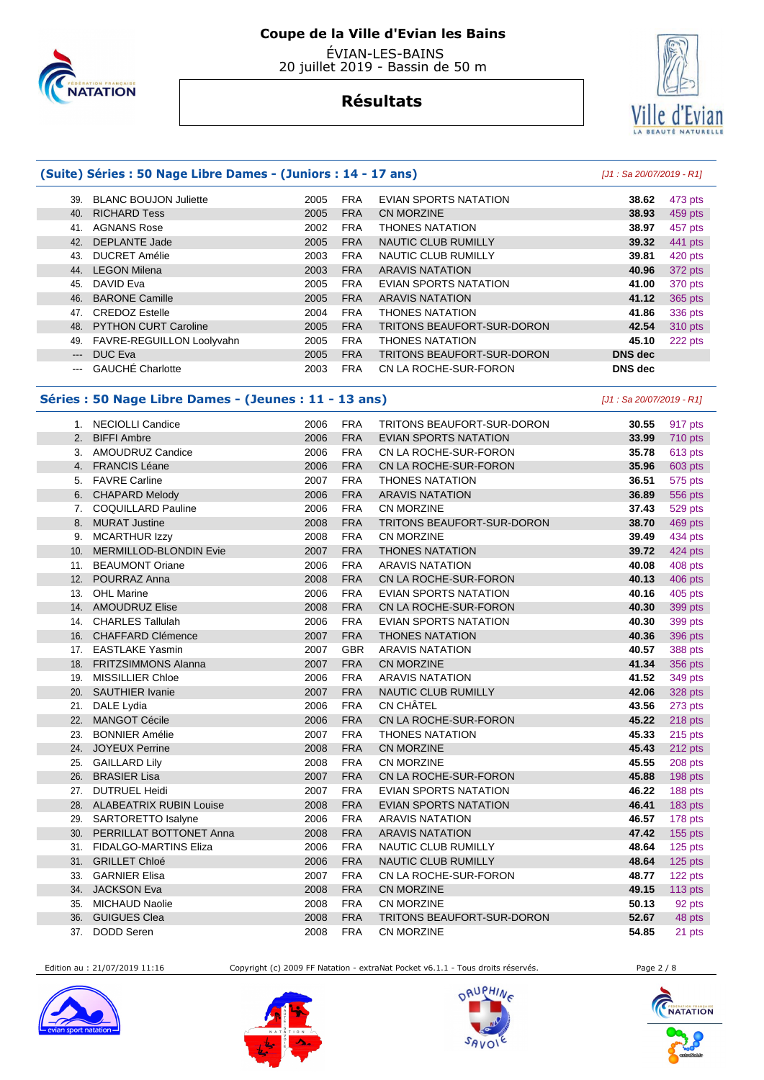

 ÉVIAN-LES-BAINS 20 juillet 2019 - Bassin de 50 m

#### **Résultats**



#### **(Suite) Séries : 50 Nage Libre Dames - (Juniors : 14 - 17 ans)** [J1 : Sa 20/07/2019 - R1]

| 39.                 | <b>BLANC BOUJON Juliette</b> | 2005 | <b>FRA</b> | EVIAN SPORTS NATATION      | 38.62          | 473 pts |
|---------------------|------------------------------|------|------------|----------------------------|----------------|---------|
| 40.                 | <b>RICHARD Tess</b>          | 2005 | <b>FRA</b> | CN MORZINE                 | 38.93          | 459 pts |
| 41.                 | <b>AGNANS Rose</b>           | 2002 | <b>FRA</b> | <b>THONES NATATION</b>     | 38.97          | 457 pts |
| 42.                 | <b>DEPLANTE Jade</b>         | 2005 | <b>FRA</b> | NAUTIC CLUB RUMILLY        | 39.32          | 441 pts |
| 43.                 | <b>DUCRET Amélie</b>         | 2003 | <b>FRA</b> | NAUTIC CLUB RUMILLY        | 39.81          | 420 pts |
| 44.                 | <b>LEGON Milena</b>          | 2003 | <b>FRA</b> | <b>ARAVIS NATATION</b>     | 40.96          | 372 pts |
| 45.                 | DAVID Eva                    | 2005 | <b>FRA</b> | EVIAN SPORTS NATATION      | 41.00          | 370 pts |
| 46.                 | <b>BARONE Camille</b>        | 2005 | <b>FRA</b> | <b>ARAVIS NATATION</b>     | 41.12          | 365 pts |
| 47.                 | <b>CREDOZ Estelle</b>        | 2004 | <b>FRA</b> | <b>THONES NATATION</b>     | 41.86          | 336 pts |
|                     | 48. PYTHON CURT Caroline     | 2005 | <b>FRA</b> | TRITONS BEAUFORT-SUR-DORON | 42.54          | 310 pts |
| 49.                 | FAVRE-REGUILLON Loolyvahn    | 2005 | <b>FRA</b> | <b>THONES NATATION</b>     | 45.10          | 222 pts |
| $\qquad \qquad - -$ | DUC Eva                      | 2005 | <b>FRA</b> | TRITONS BEAUFORT-SUR-DORON | <b>DNS</b> dec |         |
|                     | <b>GAUCHÉ Charlotte</b>      | 2003 | <b>FRA</b> | CN LA ROCHE-SUR-FORON      | <b>DNS</b> dec |         |

#### **Séries : 50 Nage Libre Dames - (Jeunes : 11 - 13 ans)** [J1 : Sa 20/07/2019 - R1]

|     | 1. NECIOLLI Candice            | 2006 | <b>FRA</b> | TRITONS BEAUFORT-SUR-DORON        | 30.55 | 917 pts |
|-----|--------------------------------|------|------------|-----------------------------------|-------|---------|
| 2.  | <b>BIFFI Ambre</b>             | 2006 | <b>FRA</b> | <b>EVIAN SPORTS NATATION</b>      | 33.99 | 710 pts |
| 3.  | AMOUDRUZ Candice               | 2006 | <b>FRA</b> | CN LA ROCHE-SUR-FORON             | 35.78 | 613 pts |
|     | 4. FRANCIS Léane               | 2006 | <b>FRA</b> | CN LA ROCHE-SUR-FORON             | 35.96 | 603 pts |
| 5.  | <b>FAVRE Carline</b>           | 2007 | <b>FRA</b> | <b>THONES NATATION</b>            | 36.51 | 575 pts |
|     | 6. CHAPARD Melody              | 2006 | <b>FRA</b> | <b>ARAVIS NATATION</b>            | 36.89 | 556 pts |
| 7.  | <b>COQUILLARD Pauline</b>      | 2006 | <b>FRA</b> | CN MORZINE                        | 37.43 | 529 pts |
| 8.  | <b>MURAT Justine</b>           | 2008 | <b>FRA</b> | <b>TRITONS BEAUFORT-SUR-DORON</b> | 38.70 | 469 pts |
| 9.  | <b>MCARTHUR Izzy</b>           | 2008 | <b>FRA</b> | CN MORZINE                        | 39.49 | 434 pts |
| 10. | MERMILLOD-BLONDIN Evie         | 2007 | <b>FRA</b> | <b>THONES NATATION</b>            | 39.72 | 424 pts |
| 11. | <b>BEAUMONT Oriane</b>         | 2006 | <b>FRA</b> | <b>ARAVIS NATATION</b>            | 40.08 | 408 pts |
| 12. | POURRAZ Anna                   | 2008 | <b>FRA</b> | CN LA ROCHE-SUR-FORON             | 40.13 | 406 pts |
| 13. | <b>OHL Marine</b>              | 2006 | <b>FRA</b> | <b>EVIAN SPORTS NATATION</b>      | 40.16 | 405 pts |
| 14. | <b>AMOUDRUZ Elise</b>          | 2008 | <b>FRA</b> | CN LA ROCHE-SUR-FORON             | 40.30 | 399 pts |
| 14. | <b>CHARLES Tallulah</b>        | 2006 | <b>FRA</b> | <b>EVIAN SPORTS NATATION</b>      | 40.30 | 399 pts |
| 16. | <b>CHAFFARD Clémence</b>       | 2007 | <b>FRA</b> | <b>THONES NATATION</b>            | 40.36 | 396 pts |
| 17. | <b>EASTLAKE Yasmin</b>         | 2007 | <b>GBR</b> | <b>ARAVIS NATATION</b>            | 40.57 | 388 pts |
| 18. | <b>FRITZSIMMONS Alanna</b>     | 2007 | <b>FRA</b> | CN MORZINE                        | 41.34 | 356 pts |
| 19. | <b>MISSILLIER Chloe</b>        | 2006 | <b>FRA</b> | <b>ARAVIS NATATION</b>            | 41.52 | 349 pts |
| 20. | <b>SAUTHIER Ivanie</b>         | 2007 | <b>FRA</b> | NAUTIC CLUB RUMILLY               | 42.06 | 328 pts |
| 21. | DALE Lydia                     | 2006 | <b>FRA</b> | <b>CN CHÂTEL</b>                  | 43.56 | 273 pts |
| 22. | <b>MANGOT Cécile</b>           | 2006 | <b>FRA</b> | CN LA ROCHE-SUR-FORON             | 45.22 | 218 pts |
| 23. | <b>BONNIER Amélie</b>          | 2007 | <b>FRA</b> | <b>THONES NATATION</b>            | 45.33 | 215 pts |
| 24. | <b>JOYEUX Perrine</b>          | 2008 | <b>FRA</b> | <b>CN MORZINE</b>                 | 45.43 | 212 pts |
| 25. | <b>GAILLARD Lily</b>           | 2008 | <b>FRA</b> | <b>CN MORZINE</b>                 | 45.55 | 208 pts |
| 26. | <b>BRASIER Lisa</b>            | 2007 | <b>FRA</b> | CN LA ROCHE-SUR-FORON             | 45.88 | 198 pts |
| 27. | <b>DUTRUEL Heidi</b>           | 2007 | <b>FRA</b> | <b>EVIAN SPORTS NATATION</b>      | 46.22 | 188 pts |
| 28. | <b>ALABEATRIX RUBIN Louise</b> | 2008 | <b>FRA</b> | <b>EVIAN SPORTS NATATION</b>      | 46.41 | 183 pts |
| 29. | SARTORETTO Isalyne             | 2006 | <b>FRA</b> | <b>ARAVIS NATATION</b>            | 46.57 | 178 pts |
| 30. | PERRILLAT BOTTONET Anna        | 2008 | <b>FRA</b> | <b>ARAVIS NATATION</b>            | 47.42 | 155 pts |
| 31. | <b>FIDALGO-MARTINS Eliza</b>   | 2006 | <b>FRA</b> | NAUTIC CLUB RUMILLY               | 48.64 | 125 pts |
| 31. | <b>GRILLET Chloé</b>           | 2006 | <b>FRA</b> | <b>NAUTIC CLUB RUMILLY</b>        | 48.64 | 125 pts |
| 33. | <b>GARNIER Elisa</b>           | 2007 | <b>FRA</b> | CN LA ROCHE-SUR-FORON             | 48.77 | 122 pts |
| 34. | <b>JACKSON Eva</b>             | 2008 | <b>FRA</b> | CN MORZINE                        | 49.15 | 113 pts |
| 35. | <b>MICHAUD Naolie</b>          | 2008 | <b>FRA</b> | <b>CN MORZINE</b>                 | 50.13 | 92 pts  |
| 36. | <b>GUIGUES Clea</b>            | 2008 | <b>FRA</b> | <b>TRITONS BEAUFORT-SUR-DORON</b> | 52.67 | 48 pts  |
| 37. | <b>DODD Seren</b>              | 2008 | <b>FRA</b> | CN MORZINE                        | 54.85 | 21 pts  |

Edition au : 21/07/2019 11:16 Copyright (c) 2009 FF Natation - extraNat Pocket v6.1.1 - Tous droits réservés. Page 2 / 8







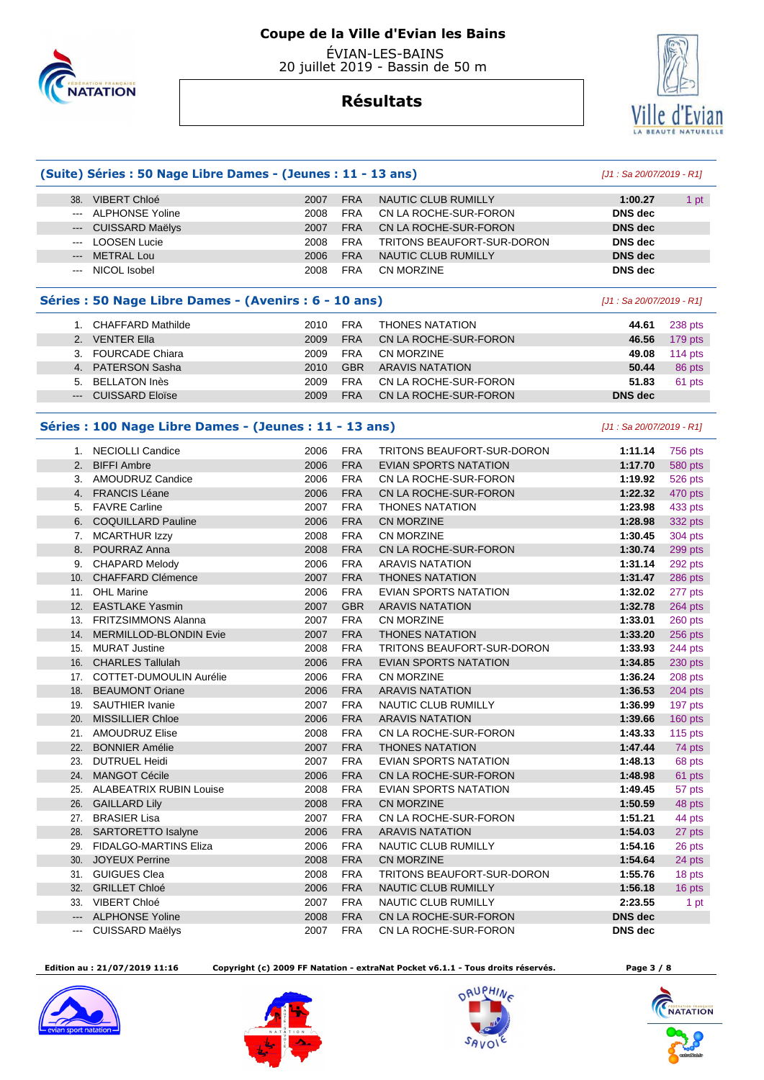

 ÉVIAN-LES-BAINS 20 juillet 2019 - Bassin de 50 m

#### **Résultats**

**(Suite) Séries : 50 Nage Libre Dames - (Jeunes : 11 - 13 ans)** [J1 : Sa 20/07/2019 - R1]

#### 38. VIBERT Chloé 2007 FRA NAUTIC CLUB RUMILLY **1:00.27** 1 pt --- ALPHONSE Yoline 2008 FRA CN LA ROCHE-SUR-FORON **DNS dec**  --- CUISSARD Maëlys 2007 FRA CN LA ROCHE-SUR-FORON **DNS dec**  --- LOOSEN Lucie 2008 FRA TRITONS BEAUFORT-SUR-DORON **DNS dec**  --- METRAL Lou 2006 FRA NAUTIC CLUB RUMILLY **DNS dec**  --- NICOL Isobel 2008 FRA CN MORZINE **DNS dec Séries : 50 Nage Libre Dames - (Avenirs : 6 - 10 ans)** [J1 : Sa 20/07/2019 - R1] 1. CHAFFARD Mathilde 2010 FRA THONES NATATION **44.61** 238 pts 2. VENTER Ella 2009 FRA CN LA ROCHE-SUR-FORON **46.56** 179 pts 3. FOURCADE Chiara 2009 FRA CN MORZINE **49.08** 114 pts 4. PATERSON Sasha 2010 GBR ARAVIS NATATION **50.44** 86 pts

5. BELLATON Inès 2009 FRA CN LA ROCHE-SUR-FORON **51.83** 61 pts

--- CUISSARD Eloïse 2009 FRA CN LA ROCHE-SUR-FORON **DNS dec** 

#### **Séries : 100 Nage Libre Dames - (Jeunes : 11 - 13 ans)** [J1 : Sa 20/07/2019 - R1]

|     | 1. NECIOLLI Candice            | 2006 | <b>FRA</b> | <b>TRITONS BEAUFORT-SUR-DORON</b> | 1:11.14        | 756 pts   |
|-----|--------------------------------|------|------------|-----------------------------------|----------------|-----------|
| 2.  | <b>BIFFI Ambre</b>             | 2006 | <b>FRA</b> | <b>EVIAN SPORTS NATATION</b>      | 1:17.70        | 580 pts   |
| 3.  | AMOUDRUZ Candice               | 2006 | <b>FRA</b> | CN LA ROCHE-SUR-FORON             | 1:19.92        | 526 pts   |
|     | 4. FRANCIS Léane               | 2006 | <b>FRA</b> | CN LA ROCHE-SUR-FORON             | 1:22.32        | 470 pts   |
| 5.  | <b>FAVRE Carline</b>           | 2007 | <b>FRA</b> | <b>THONES NATATION</b>            | 1:23.98        | 433 pts   |
|     | 6. COQUILLARD Pauline          | 2006 | <b>FRA</b> | <b>CN MORZINE</b>                 | 1:28.98        | 332 pts   |
| 7.  | <b>MCARTHUR Izzy</b>           | 2008 | <b>FRA</b> | <b>CN MORZINE</b>                 | 1:30.45        | 304 pts   |
| 8.  | POURRAZ Anna                   | 2008 | <b>FRA</b> | CN LA ROCHE-SUR-FORON             | 1:30.74        | 299 pts   |
| 9.  | <b>CHAPARD Melody</b>          | 2006 | <b>FRA</b> | <b>ARAVIS NATATION</b>            | 1:31.14        | 292 pts   |
| 10. | <b>CHAFFARD Clémence</b>       | 2007 | <b>FRA</b> | <b>THONES NATATION</b>            | 1:31.47        | 286 pts   |
| 11. | <b>OHL Marine</b>              | 2006 | <b>FRA</b> | <b>EVIAN SPORTS NATATION</b>      | 1:32.02        | 277 pts   |
| 12. | <b>EASTLAKE Yasmin</b>         | 2007 | <b>GBR</b> | <b>ARAVIS NATATION</b>            | 1:32.78        | 264 pts   |
| 13. | <b>FRITZSIMMONS Alanna</b>     | 2007 | <b>FRA</b> | CN MORZINE                        | 1:33.01        | 260 pts   |
| 14. | MERMILLOD-BLONDIN Evie         | 2007 | <b>FRA</b> | <b>THONES NATATION</b>            | 1:33.20        | 256 pts   |
| 15. | <b>MURAT Justine</b>           | 2008 | <b>FRA</b> | <b>TRITONS BEAUFORT-SUR-DORON</b> | 1:33.93        | 244 pts   |
| 16. | <b>CHARLES Tallulah</b>        | 2006 | <b>FRA</b> | <b>EVIAN SPORTS NATATION</b>      | 1:34.85        | 230 pts   |
| 17. | <b>COTTET-DUMOULIN Aurélie</b> | 2006 | <b>FRA</b> | <b>CN MORZINE</b>                 | 1:36.24        | 208 pts   |
| 18. | <b>BEAUMONT Oriane</b>         | 2006 | <b>FRA</b> | <b>ARAVIS NATATION</b>            | 1:36.53        | 204 pts   |
| 19. | <b>SAUTHIER Ivanie</b>         | 2007 | <b>FRA</b> | <b>NAUTIC CLUB RUMILLY</b>        | 1:36.99        | 197 pts   |
| 20. | <b>MISSILLIER Chloe</b>        | 2006 | <b>FRA</b> | <b>ARAVIS NATATION</b>            | 1:39.66        | 160 pts   |
| 21. | <b>AMOUDRUZ Elise</b>          | 2008 | <b>FRA</b> | CN LA ROCHE-SUR-FORON             | 1:43.33        | 115 $pts$ |
| 22. | <b>BONNIER Amélie</b>          | 2007 | <b>FRA</b> | <b>THONES NATATION</b>            | 1:47.44        | 74 pts    |
| 23. | <b>DUTRUEL Heidi</b>           | 2007 | <b>FRA</b> | <b>EVIAN SPORTS NATATION</b>      | 1:48.13        | 68 pts    |
| 24. | <b>MANGOT Cécile</b>           | 2006 | <b>FRA</b> | CN LA ROCHE-SUR-FORON             | 1:48.98        | 61 pts    |
|     | 25. ALABEATRIX RUBIN Louise    | 2008 | <b>FRA</b> | <b>EVIAN SPORTS NATATION</b>      | 1:49.45        | 57 pts    |
| 26. | <b>GAILLARD Lily</b>           | 2008 | <b>FRA</b> | CN MORZINE                        | 1:50.59        | 48 pts    |
| 27. | <b>BRASIER Lisa</b>            | 2007 | <b>FRA</b> | CN LA ROCHE-SUR-FORON             | 1:51.21        | 44 pts    |
| 28. | <b>SARTORETTO Isalyne</b>      | 2006 | <b>FRA</b> | <b>ARAVIS NATATION</b>            | 1:54.03        | 27 pts    |
| 29. | <b>FIDALGO-MARTINS Eliza</b>   | 2006 | <b>FRA</b> | NAUTIC CLUB RUMILLY               | 1:54.16        | 26 pts    |
| 30. | <b>JOYEUX Perrine</b>          | 2008 | <b>FRA</b> | <b>CN MORZINE</b>                 | 1:54.64        | 24 pts    |
| 31. | <b>GUIGUES Clea</b>            | 2008 | <b>FRA</b> | <b>TRITONS BEAUFORT-SUR-DORON</b> | 1:55.76        | 18 pts    |
| 32. | <b>GRILLET Chloé</b>           | 2006 | <b>FRA</b> | NAUTIC CLUB RUMILLY               | 1:56.18        | 16 pts    |
| 33. | VIBERT Chloé                   | 2007 | <b>FRA</b> | <b>NAUTIC CLUB RUMILLY</b>        | 2:23.55        | 1 pt      |
|     | <b>ALPHONSE Yoline</b>         | 2008 | <b>FRA</b> | CN LA ROCHE-SUR-FORON             | <b>DNS</b> dec |           |
|     | <b>CUISSARD Maëlys</b>         | 2007 | <b>FRA</b> | CN LA ROCHE-SUR-FORON             | <b>DNS</b> dec |           |

 **Edition au : 21/07/2019 11:16 Copyright (c) 2009 FF Natation - extraNat Pocket v6.1.1 - Tous droits réservés. Page 3 / 8** 









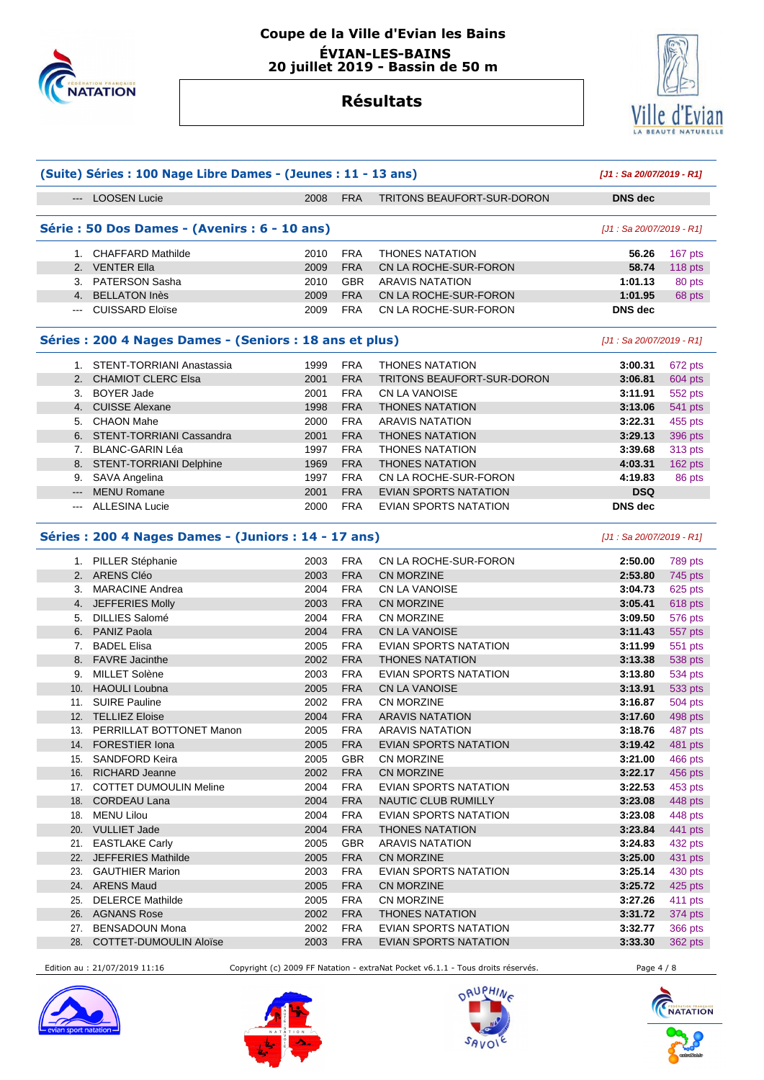



#### **Résultats**

|                                                                                                                                                                                                                                                                                                                                                                                              |                                                         | (Suite) Séries : 100 Nage Libre Dames - (Jeunes : 11 - 13 ans) |            |                              |                           |                |  |
|----------------------------------------------------------------------------------------------------------------------------------------------------------------------------------------------------------------------------------------------------------------------------------------------------------------------------------------------------------------------------------------------|---------------------------------------------------------|----------------------------------------------------------------|------------|------------------------------|---------------------------|----------------|--|
|                                                                                                                                                                                                                                                                                                                                                                                              | --- LOOSEN Lucie                                        | 2008                                                           | <b>FRA</b> | TRITONS BEAUFORT-SUR-DORON   | <b>DNS dec</b>            |                |  |
|                                                                                                                                                                                                                                                                                                                                                                                              | Série : 50 Dos Dames - (Avenirs : 6 - 10 ans)           |                                                                |            |                              | [J1 : Sa 20/07/2019 - R1] |                |  |
|                                                                                                                                                                                                                                                                                                                                                                                              | 1. CHAFFARD Mathilde                                    | 2010                                                           | <b>FRA</b> | <b>THONES NATATION</b>       | 56.26                     | 167 pts        |  |
|                                                                                                                                                                                                                                                                                                                                                                                              | 2. VENTER Ella                                          | 2009                                                           | <b>FRA</b> | CN LA ROCHE-SUR-FORON        | 58.74                     | 118 pts        |  |
|                                                                                                                                                                                                                                                                                                                                                                                              | 3. PATERSON Sasha                                       | 2010                                                           | <b>GBR</b> | <b>ARAVIS NATATION</b>       | 1:01.13                   | 80 pts         |  |
|                                                                                                                                                                                                                                                                                                                                                                                              | 4. BELLATON Inès                                        | 2009                                                           | <b>FRA</b> | CN LA ROCHE-SUR-FORON        | 1:01.95                   | 68 pts         |  |
|                                                                                                                                                                                                                                                                                                                                                                                              | --- CUISSARD Eloïse                                     | 2009                                                           | <b>FRA</b> | CN LA ROCHE-SUR-FORON        | <b>DNS</b> dec            |                |  |
|                                                                                                                                                                                                                                                                                                                                                                                              | Séries : 200 4 Nages Dames - (Seniors : 18 ans et plus) |                                                                |            |                              | [J1 : Sa 20/07/2019 - R1] |                |  |
|                                                                                                                                                                                                                                                                                                                                                                                              | 1. STENT-TORRIANI Anastassia                            | 1999                                                           | <b>FRA</b> | <b>THONES NATATION</b>       | 3:00.31                   | 672 pts        |  |
|                                                                                                                                                                                                                                                                                                                                                                                              | 2. CHAMIOT CLERC Elsa                                   | 2001                                                           | <b>FRA</b> | TRITONS BEAUFORT-SUR-DORON   | 3:06.81                   | 604 pts        |  |
|                                                                                                                                                                                                                                                                                                                                                                                              | 3. BOYER Jade                                           | 2001                                                           | <b>FRA</b> | CN LA VANOISE                | 3:11.91                   | 552 pts        |  |
|                                                                                                                                                                                                                                                                                                                                                                                              | 4. CUISSE Alexane                                       | 1998                                                           | <b>FRA</b> | <b>THONES NATATION</b>       | 3:13.06                   | 541 pts        |  |
|                                                                                                                                                                                                                                                                                                                                                                                              | 5. CHAON Mahe                                           | 2000                                                           | <b>FRA</b> | <b>ARAVIS NATATION</b>       | 3:22.31                   | 455 pts        |  |
|                                                                                                                                                                                                                                                                                                                                                                                              | 6. STENT-TORRIANI Cassandra                             | 2001                                                           | <b>FRA</b> | <b>THONES NATATION</b>       | 3:29.13                   | 396 pts        |  |
|                                                                                                                                                                                                                                                                                                                                                                                              | 7. BLANC-GARIN Léa                                      | 1997                                                           | <b>FRA</b> | <b>THONES NATATION</b>       | 3:39.68                   | 313 pts        |  |
|                                                                                                                                                                                                                                                                                                                                                                                              | 8. STENT-TORRIANI Delphine                              | 1969                                                           | <b>FRA</b> | <b>THONES NATATION</b>       | 4:03.31                   | 162 pts        |  |
|                                                                                                                                                                                                                                                                                                                                                                                              | 9. SAVA Angelina                                        | 1997                                                           | <b>FRA</b> | CN LA ROCHE-SUR-FORON        | 4:19.83                   | 86 pts         |  |
| $---$                                                                                                                                                                                                                                                                                                                                                                                        | <b>MENU Romane</b>                                      | 2001                                                           | <b>FRA</b> | <b>EVIAN SPORTS NATATION</b> | <b>DSQ</b>                |                |  |
| $\frac{1}{2} \frac{1}{2} \frac{1}{2} \frac{1}{2} \frac{1}{2} \frac{1}{2} \frac{1}{2} \frac{1}{2} \frac{1}{2} \frac{1}{2} \frac{1}{2} \frac{1}{2} \frac{1}{2} \frac{1}{2} \frac{1}{2} \frac{1}{2} \frac{1}{2} \frac{1}{2} \frac{1}{2} \frac{1}{2} \frac{1}{2} \frac{1}{2} \frac{1}{2} \frac{1}{2} \frac{1}{2} \frac{1}{2} \frac{1}{2} \frac{1}{2} \frac{1}{2} \frac{1}{2} \frac{1}{2} \frac{$ | <b>ALLESINA Lucie</b>                                   | 2000                                                           | <b>FRA</b> | EVIAN SPORTS NATATION        | <b>DNS</b> dec            |                |  |
|                                                                                                                                                                                                                                                                                                                                                                                              | Séries: 200 4 Nages Dames - (Juniors: 14 - 17 ans)      |                                                                |            |                              | [J1 : Sa 20/07/2019 - R1] |                |  |
|                                                                                                                                                                                                                                                                                                                                                                                              | 1. PILLER Stéphanie                                     | 2003                                                           | <b>FRA</b> | CN LA ROCHE-SUR-FORON        | 2:50.00                   | 789 pts        |  |
|                                                                                                                                                                                                                                                                                                                                                                                              | 2. ARENS Cléo                                           | 2003                                                           | <b>FRA</b> | <b>CN MORZINE</b>            | 2:53.80                   | 745 pts        |  |
|                                                                                                                                                                                                                                                                                                                                                                                              | 3. MARACINE Andrea                                      | 2004                                                           | <b>FRA</b> | <b>CN LA VANOISE</b>         | 3:04.73                   | 625 pts        |  |
|                                                                                                                                                                                                                                                                                                                                                                                              | 4. JEFFERIES Molly                                      | 2003                                                           | <b>FRA</b> | <b>CN MORZINE</b>            | 3:05.41                   | 618 pts        |  |
|                                                                                                                                                                                                                                                                                                                                                                                              | 5. DILLIES Salomé                                       | 2004                                                           | <b>FRA</b> | CN MORZINE                   | 3:09.50                   | 576 pts        |  |
|                                                                                                                                                                                                                                                                                                                                                                                              | 6. PANIZ Paola                                          | 2004                                                           | <b>FRA</b> | <b>CN LA VANOISE</b>         | 3:11.43                   | 557 pts        |  |
|                                                                                                                                                                                                                                                                                                                                                                                              | 7. BADEL Elisa                                          | 2005                                                           | <b>FRA</b> | EVIAN SPORTS NATATION        | 3:11.99                   | 551 pts        |  |
|                                                                                                                                                                                                                                                                                                                                                                                              | 8. FAVRE Jacinthe                                       | 2002                                                           | <b>FRA</b> | <b>THONES NATATION</b>       | 3:13.38                   | 538 pts        |  |
| 9.                                                                                                                                                                                                                                                                                                                                                                                           | MILLET Solène                                           | 2003                                                           | <b>FRA</b> | EVIAN SPORTS NATATION        | 3:13.80                   | 534 pts        |  |
|                                                                                                                                                                                                                                                                                                                                                                                              | 10. HAOULI Loubna                                       | 2005                                                           | <b>FRA</b> | <b>CN LA VANOISE</b>         | 3:13.91                   | 533 pts        |  |
|                                                                                                                                                                                                                                                                                                                                                                                              | 11. SUIRE Pauline                                       | 2002                                                           | <b>FRA</b> | CN MORZINE                   | 3:16.87                   | 504 pts        |  |
|                                                                                                                                                                                                                                                                                                                                                                                              | 12. TELLIEZ Eloise                                      | 2004                                                           | <b>FRA</b> | <b>ARAVIS NATATION</b>       | 3:17.60                   | 498 pts        |  |
|                                                                                                                                                                                                                                                                                                                                                                                              | 13. PERRILLAT BOTTONET Manon                            | 2005                                                           | <b>FRA</b> | <b>ARAVIS NATATION</b>       | 3:18.76                   | 487 pts        |  |
|                                                                                                                                                                                                                                                                                                                                                                                              | 14. FORESTIER Iona                                      | 2005                                                           | <b>FRA</b> | <b>EVIAN SPORTS NATATION</b> | 3:19.42 481 pts           |                |  |
|                                                                                                                                                                                                                                                                                                                                                                                              | 15. SANDFORD Keira                                      | 2005                                                           | <b>GBR</b> | CN MORZINE                   | 3:21.00                   | 466 pts        |  |
|                                                                                                                                                                                                                                                                                                                                                                                              | 16. RICHARD Jeanne                                      | 2002                                                           | <b>FRA</b> | CN MORZINE                   | 3:22.17                   | 456 pts        |  |
|                                                                                                                                                                                                                                                                                                                                                                                              | 17. COTTET DUMOULIN Meline                              | 2004                                                           | <b>FRA</b> | EVIAN SPORTS NATATION        | 3:22.53                   | 453 pts        |  |
|                                                                                                                                                                                                                                                                                                                                                                                              | 18. CORDEAU Lana                                        | 2004                                                           | <b>FRA</b> | <b>NAUTIC CLUB RUMILLY</b>   | 3:23.08                   | 448 pts        |  |
|                                                                                                                                                                                                                                                                                                                                                                                              | 18. MENU Lilou                                          | 2004                                                           | <b>FRA</b> | <b>EVIAN SPORTS NATATION</b> | 3:23.08                   | 448 pts        |  |
|                                                                                                                                                                                                                                                                                                                                                                                              | 20. VULLIET Jade                                        | 2004                                                           | <b>FRA</b> | <b>THONES NATATION</b>       | 3:23.84                   | 441 pts        |  |
|                                                                                                                                                                                                                                                                                                                                                                                              | 21. EASTLAKE Carly                                      | 2005                                                           | <b>GBR</b> | <b>ARAVIS NATATION</b>       | 3:24.83                   | 432 pts        |  |
|                                                                                                                                                                                                                                                                                                                                                                                              | 22. JEFFERIES Mathilde                                  | 2005                                                           | <b>FRA</b> | CN MORZINE                   | 3:25.00                   | 431 pts        |  |
|                                                                                                                                                                                                                                                                                                                                                                                              | 23. GAUTHIER Marion                                     | 2003                                                           | <b>FRA</b> | EVIAN SPORTS NATATION        | 3:25.14                   | 430 pts        |  |
|                                                                                                                                                                                                                                                                                                                                                                                              | 24. ARENS Maud                                          | 2005                                                           | <b>FRA</b> | CN MORZINE                   | 3:25.72                   | 425 pts        |  |
|                                                                                                                                                                                                                                                                                                                                                                                              | 25. DELERCE Mathilde                                    | 2005                                                           | <b>FRA</b> | CN MORZINE                   | 3:27.26                   | 411 pts        |  |
|                                                                                                                                                                                                                                                                                                                                                                                              | 26. AGNANS Rose                                         | 2002                                                           | <b>FRA</b> | <b>THONES NATATION</b>       | 3:31.72                   |                |  |
|                                                                                                                                                                                                                                                                                                                                                                                              | 27. BENSADOUN Mona                                      | 2002                                                           | <b>FRA</b> | EVIAN SPORTS NATATION        | 3:32.77                   | 374 pts        |  |
|                                                                                                                                                                                                                                                                                                                                                                                              |                                                         |                                                                |            |                              |                           | <b>366 pts</b> |  |
|                                                                                                                                                                                                                                                                                                                                                                                              | 28. COTTET-DUMOULIN Aloïse                              | 2003                                                           | <b>FRA</b> | EVIAN SPORTS NATATION        | 3:33.30                   | 362 pts        |  |

Edition au : 21/07/2019 11:16 Copyright (c) 2009 FF Natation - extraNat Pocket v6.1.1 - Tous droits réservés. Page 4 / 8







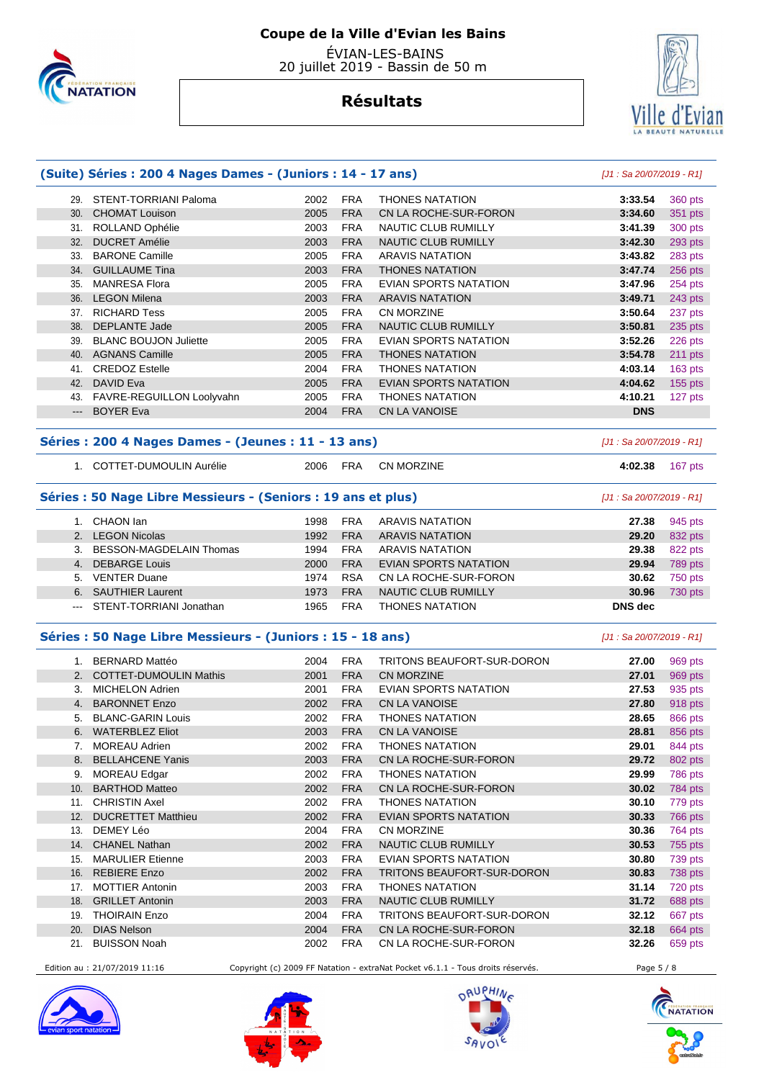

 ÉVIAN-LES-BAINS 20 juillet 2019 - Bassin de 50 m

#### **Résultats**



#### **(Suite) Séries : 200 4 Nages Dames - (Juniors : 14 - 17 ans)** [J1 : Sa 20/07/2019 - R1]

| 29.   | STENT-TORRIANI Paloma        | 2002 | <b>FRA</b> | <b>THONES NATATION</b>     | 3:33.54    | 360 pts   |
|-------|------------------------------|------|------------|----------------------------|------------|-----------|
| 30.   | <b>CHOMAT Louison</b>        | 2005 | <b>FRA</b> | CN LA ROCHE-SUR-FORON      | 3:34.60    | 351 pts   |
| 31.   | ROLLAND Ophélie              | 2003 | <b>FRA</b> | NAUTIC CLUB RUMILLY        | 3:41.39    | 300 pts   |
| 32.   | <b>DUCRET Amélie</b>         | 2003 | <b>FRA</b> | <b>NAUTIC CLUB RUMILLY</b> | 3:42.30    | 293 pts   |
| 33.   | <b>BARONE Camille</b>        | 2005 | <b>FRA</b> | <b>ARAVIS NATATION</b>     | 3:43.82    | 283 pts   |
| 34.   | <b>GUILLAUME Tina</b>        | 2003 | <b>FRA</b> | <b>THONES NATATION</b>     | 3:47.74    | 256 pts   |
| 35.   | <b>MANRESA Flora</b>         | 2005 | <b>FRA</b> | EVIAN SPORTS NATATION      | 3:47.96    | 254 pts   |
| 36.   | <b>LEGON Milena</b>          | 2003 | <b>FRA</b> | <b>ARAVIS NATATION</b>     | 3:49.71    | 243 pts   |
| 37.   | <b>RICHARD Tess</b>          | 2005 | <b>FRA</b> | <b>CN MORZINE</b>          | 3:50.64    | 237 pts   |
| 38.   | <b>DEPLANTE Jade</b>         | 2005 | <b>FRA</b> | <b>NAUTIC CLUB RUMILLY</b> | 3:50.81    | 235 pts   |
| 39.   | <b>BLANC BOUJON Juliette</b> | 2005 | <b>FRA</b> | EVIAN SPORTS NATATION      | 3:52.26    | 226 pts   |
| 40.   | <b>AGNANS Camille</b>        | 2005 | <b>FRA</b> | <b>THONES NATATION</b>     | 3:54.78    | 211 pts   |
| 41.   | <b>CREDOZ Estelle</b>        | 2004 | <b>FRA</b> | <b>THONES NATATION</b>     | 4:03.14    | 163 pts   |
| 42.   | DAVID Eva                    | 2005 | <b>FRA</b> | EVIAN SPORTS NATATION      | 4:04.62    | $155$ pts |
| 43.   | FAVRE-REGUILLON Loolyvahn    | 2005 | <b>FRA</b> | <b>THONES NATATION</b>     | 4:10.21    | 127 pts   |
| $---$ | <b>BOYER Eva</b>             | 2004 | <b>FRA</b> | <b>CN LA VANOISE</b>       | <b>DNS</b> |           |
|       |                              |      |            |                            |            |           |

#### **Séries : 200 4 Nages Dames - (Jeunes : 11 - 13 ans)** [J1 : Sa 20/07/2019 - R1]

- 1. COTTET-DUMOULIN Aurélie 2006 FRA CN MORZINE **4:02.38** 167 pts
- 

#### **Séries : 50 Nage Libre Messieurs - (Seniors : 19 ans et plus)** [J1 : Sa 20/07/2019 - R1]

|                | CHAON Ian                   | 1998 | <b>FRA</b> | ARAVIS NATATION        | 27.38   | 945 pts |
|----------------|-----------------------------|------|------------|------------------------|---------|---------|
|                | 2. LEGON Nicolas            | 1992 | <b>FRA</b> | <b>ARAVIS NATATION</b> | 29.20   | 832 pts |
| 3.             | BESSON-MAGDELAIN Thomas     | 1994 | <b>FRA</b> | ARAVIS NATATION        | 29.38   | 822 pts |
| 4 <sup>1</sup> | DEBARGE Louis               | 2000 | <b>FRA</b> | EVIAN SPORTS NATATION  | 29.94   | 789 pts |
| 5.             | <b>VENTER Duane</b>         | 1974 | <b>RSA</b> | CN LA ROCHE-SUR-FORON  | 30.62   | 750 pts |
| 6.             | <b>SAUTHIER Laurent</b>     | 1973 | <b>FRA</b> | NAUTIC CLUB RUMILLY    | 30.96   | 730 pts |
|                | --- STENT-TORRIANI Jonathan | 1965 | <b>FRA</b> | <b>THONES NATATION</b> | DNS dec |         |
|                |                             |      |            |                        |         |         |

#### **Séries : 50 Nage Libre Messieurs - (Juniors : 15 - 18 ans)** [J1 : Sa 20/07/2019 - R1]

|     | <b>BERNARD Mattéo</b>         | 2004 | <b>FRA</b> | TRITONS BEAUFORT-SUR-DORON   | 27.00 | 969 pts |
|-----|-------------------------------|------|------------|------------------------------|-------|---------|
|     | <b>COTTET-DUMOULIN Mathis</b> | 2001 | <b>FRA</b> | <b>CN MORZINE</b>            | 27.01 | 969 pts |
| 3.  | <b>MICHELON Adrien</b>        | 2001 | <b>FRA</b> | <b>EVIAN SPORTS NATATION</b> | 27.53 | 935 pts |
| 4.  | <b>BARONNET Enzo</b>          | 2002 | <b>FRA</b> | <b>CN LA VANOISE</b>         | 27.80 | 918 pts |
| 5.  | <b>BLANC-GARIN Louis</b>      | 2002 | <b>FRA</b> | <b>THONES NATATION</b>       | 28.65 | 866 pts |
| 6.  | <b>WATERBLEZ Eliot</b>        | 2003 | <b>FRA</b> | <b>CN LA VANOISE</b>         | 28.81 | 856 pts |
|     | <b>MOREAU Adrien</b>          | 2002 | <b>FRA</b> | <b>THONES NATATION</b>       | 29.01 | 844 pts |
| 8.  | <b>BELLAHCENE Yanis</b>       | 2003 | <b>FRA</b> | CN LA ROCHE-SUR-FORON        | 29.72 | 802 pts |
| 9.  | MOREAU Edgar                  | 2002 | <b>FRA</b> | <b>THONES NATATION</b>       | 29.99 | 786 pts |
| 10. | <b>BARTHOD Matteo</b>         | 2002 | <b>FRA</b> | CN LA ROCHE-SUR-FORON        | 30.02 | 784 pts |
| 11. | <b>CHRISTIN Axel</b>          | 2002 | <b>FRA</b> | <b>THONES NATATION</b>       | 30.10 | 779 pts |
| 12. | <b>DUCRETTET Matthieu</b>     | 2002 | <b>FRA</b> | <b>EVIAN SPORTS NATATION</b> | 30.33 | 766 pts |
| 13. | DEMEY Léo                     | 2004 | <b>FRA</b> | <b>CN MORZINE</b>            | 30.36 | 764 pts |
| 14. | <b>CHANEL Nathan</b>          | 2002 | <b>FRA</b> | NAUTIC CLUB RUMILLY          | 30.53 | 755 pts |
| 15. | <b>MARULIER Etienne</b>       | 2003 | <b>FRA</b> | <b>EVIAN SPORTS NATATION</b> | 30.80 | 739 pts |
| 16. | <b>REBIERE Enzo</b>           | 2002 | <b>FRA</b> | TRITONS BEAUFORT-SUR-DORON   | 30.83 | 738 pts |
| 17. | <b>MOTTIER Antonin</b>        | 2003 | <b>FRA</b> | <b>THONES NATATION</b>       | 31.14 | 720 pts |
| 18. | <b>GRILLET Antonin</b>        | 2003 | <b>FRA</b> | <b>NAUTIC CLUB RUMILLY</b>   | 31.72 | 688 pts |
| 19. | <b>THOIRAIN Enzo</b>          | 2004 | <b>FRA</b> | TRITONS BEAUFORT-SUR-DORON   | 32.12 | 667 pts |
| 20. | <b>DIAS Nelson</b>            | 2004 | <b>FRA</b> | CN LA ROCHE-SUR-FORON        | 32.18 | 664 pts |
| 21. | <b>BUISSON Noah</b>           | 2002 | <b>FRA</b> | CN LA ROCHE-SUR-FORON        | 32.26 | 659 pts |
|     |                               |      |            |                              |       |         |

Edition au : 21/07/2019 11:16 Copyright (c) 2009 FF Natation - extraNat Pocket v6.1.1 - Tous droits réservés. Page 5 / 8







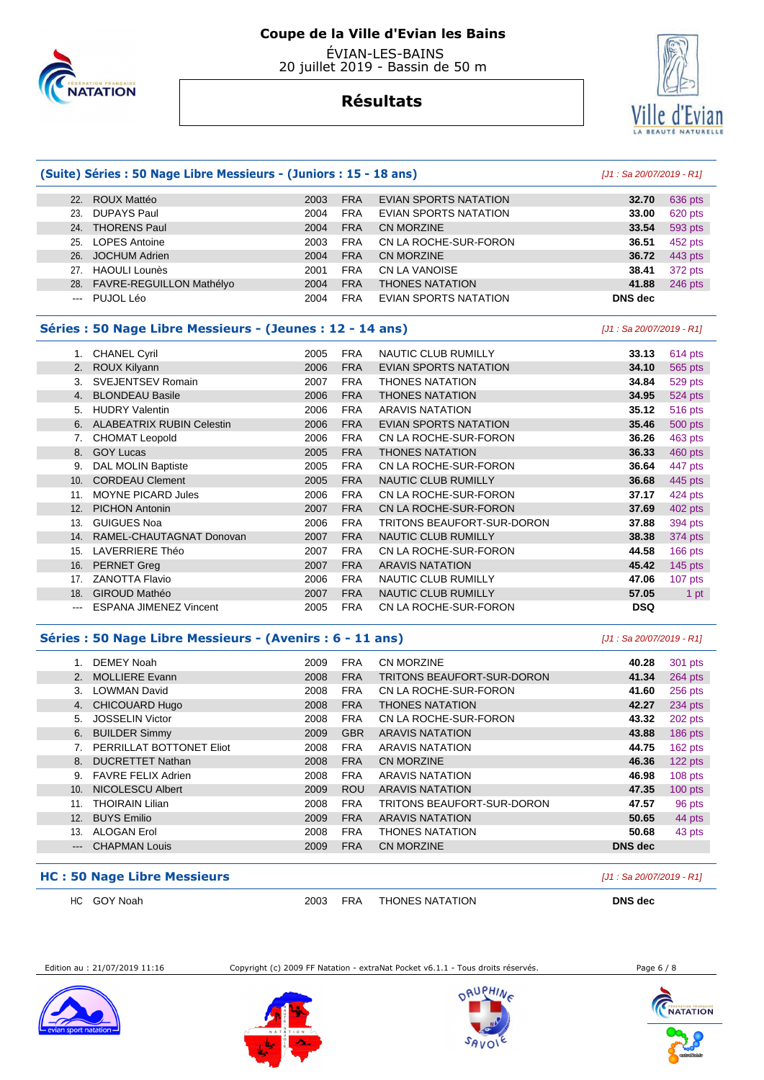

 ÉVIAN-LES-BAINS 20 juillet 2019 - Bassin de 50 m

### **Résultats**



#### **(Suite) Séries : 50 Nage Libre Messieurs - (Juniors : 15 - 18 ans)** [J1 : Sa 20/07/2019 - R1] 22. ROUX Mattéo 2003 FRA EVIAN SPORTS NATATION **32.70** 636 pts

|     | <b>ZZ. RUUX Matteo</b>       | ZUU3. | <b>FRA</b> | EVIAN SPURTS NATATION        | 34.70 L        | OJO DIS |
|-----|------------------------------|-------|------------|------------------------------|----------------|---------|
| 23. | DUPAYS Paul                  | 2004  | <b>FRA</b> | <b>EVIAN SPORTS NATATION</b> | 33.00          | 620 pts |
|     | 24. THORENS Paul             | 2004  | <b>FRA</b> | <b>CN MORZINE</b>            | 33.54          | 593 pts |
|     | 25. LOPES Antoine            | 2003  | <b>FRA</b> | CN LA ROCHE-SUR-FORON        | 36.51          | 452 pts |
|     | 26. JOCHUM Adrien            | 2004  | <b>FRA</b> | <b>CN MORZINE</b>            | 36.72          | 443 pts |
|     | 27. HAOULI Lounès            | 2001  | <b>FRA</b> | CN LA VANOISE                | 38.41          | 372 pts |
|     | 28. FAVRE-REGUILLON Mathélyo | 2004  | <b>FRA</b> | <b>THONES NATATION</b>       | 41.88          | 246 pts |
|     | --- PUJOL Léo                | 2004  | <b>FRA</b> | EVIAN SPORTS NATATION        | <b>DNS</b> dec |         |
|     |                              |       |            |                              |                |         |

#### **Séries : 50 Nage Libre Messieurs - (Jeunes : 12 - 14 ans)** [J1 : Sa 20/07/2019 - R1]

| 1.  | <b>CHANEL Cyril</b>              | 2005 | <b>FRA</b> | <b>NAUTIC CLUB RUMILLY</b>   | 33.13      | 614 pts   |
|-----|----------------------------------|------|------------|------------------------------|------------|-----------|
| 2.  | ROUX Kilyann                     | 2006 | <b>FRA</b> | <b>EVIAN SPORTS NATATION</b> | 34.10      | 565 pts   |
| 3.  | <b>SVEJENTSEV Romain</b>         | 2007 | <b>FRA</b> | <b>THONES NATATION</b>       | 34.84      | 529 pts   |
| 4.  | <b>BLONDEAU Basile</b>           | 2006 | <b>FRA</b> | <b>THONES NATATION</b>       | 34.95      | 524 pts   |
| 5.  | <b>HUDRY Valentin</b>            | 2006 | <b>FRA</b> | ARAVIS NATATION              | 35.12      | 516 pts   |
| 6.  | <b>ALABEATRIX RUBIN Celestin</b> | 2006 | <b>FRA</b> | <b>EVIAN SPORTS NATATION</b> | 35.46      | 500 pts   |
| 7.  | <b>CHOMAT Leopold</b>            | 2006 | <b>FRA</b> | CN LA ROCHE-SUR-FORON        | 36.26      | 463 pts   |
| 8.  | <b>GOY Lucas</b>                 | 2005 | <b>FRA</b> | <b>THONES NATATION</b>       | 36.33      | 460 pts   |
| 9.  | DAL MOLIN Baptiste               | 2005 | <b>FRA</b> | CN LA ROCHE-SUR-FORON        | 36.64      | 447 pts   |
| 10. | <b>CORDEAU Clement</b>           | 2005 | <b>FRA</b> | <b>NAUTIC CLUB RUMILLY</b>   | 36.68      | 445 pts   |
| 11. | <b>MOYNE PICARD Jules</b>        | 2006 | <b>FRA</b> | CN LA ROCHE-SUR-FORON        | 37.17      | 424 pts   |
| 12. | <b>PICHON Antonin</b>            | 2007 | <b>FRA</b> | CN LA ROCHE-SUR-FORON        | 37.69      | 402 pts   |
| 13. | <b>GUIGUES Noa</b>               | 2006 | <b>FRA</b> | TRITONS BEAUFORT-SUR-DORON   | 37.88      | 394 pts   |
| 14. | RAMEL-CHAUTAGNAT Donovan         | 2007 | <b>FRA</b> | <b>NAUTIC CLUB RUMILLY</b>   | 38.38      | 374 pts   |
| 15. | <b>LAVERRIERE Théo</b>           | 2007 | <b>FRA</b> | CN LA ROCHE-SUR-FORON        | 44.58      | 166 pts   |
| 16. | <b>PERNET Greg</b>               | 2007 | <b>FRA</b> | <b>ARAVIS NATATION</b>       | 45.42      | 145 $pts$ |
| 17. | <b>ZANOTTA Flavio</b>            | 2006 | <b>FRA</b> | NAUTIC CLUB RUMILLY          | 47.06      | $107$ pts |
| 18. | <b>GIROUD Mathéo</b>             | 2007 | <b>FRA</b> | <b>NAUTIC CLUB RUMILLY</b>   | 57.05      | 1 pt      |
| --- | <b>ESPANA JIMENEZ Vincent</b>    | 2005 | <b>FRA</b> | CN LA ROCHE-SUR-FORON        | <b>DSQ</b> |           |

#### **Séries : 50 Nage Libre Messieurs - (Avenirs : 6 - 11 ans)** [J1 : Sa 20/07/2019 - R1]

|                 | DEMEY Noah                | 2009 | <b>FRA</b> | CN MORZINE                 | 40.28          | 301 pts   |
|-----------------|---------------------------|------|------------|----------------------------|----------------|-----------|
| 2.              | <b>MOLLIERE Evann</b>     | 2008 | <b>FRA</b> | TRITONS BEAUFORT-SUR-DORON | 41.34          | 264 pts   |
| 3.              | <b>LOWMAN David</b>       | 2008 | <b>FRA</b> | CN LA ROCHE-SUR-FORON      | 41.60          | 256 pts   |
| 4.              | <b>CHICOUARD Hugo</b>     | 2008 | <b>FRA</b> | <b>THONES NATATION</b>     | 42.27          | 234 pts   |
| 5.              | <b>JOSSELIN Victor</b>    | 2008 | <b>FRA</b> | CN LA ROCHE-SUR-FORON      | 43.32          | 202 pts   |
| 6.              | <b>BUILDER Simmy</b>      | 2009 | <b>GBR</b> | <b>ARAVIS NATATION</b>     | 43.88          | 186 pts   |
|                 | PERRILLAT BOTTONET Eliot  | 2008 | <b>FRA</b> | <b>ARAVIS NATATION</b>     | 44.75          | 162 pts   |
| 8.              | <b>DUCRETTET Nathan</b>   | 2008 | <b>FRA</b> | <b>CN MORZINE</b>          | 46.36          | 122 pts   |
| 9.              | <b>FAVRE FELIX Adrien</b> | 2008 | <b>FRA</b> | <b>ARAVIS NATATION</b>     | 46.98          | $108$ pts |
| 10 <sub>1</sub> | <b>NICOLESCU Albert</b>   | 2009 | <b>ROU</b> | <b>ARAVIS NATATION</b>     | 47.35          | $100$ pts |
| 11.             | <b>THOIRAIN Lilian</b>    | 2008 | <b>FRA</b> | TRITONS BEAUFORT-SUR-DORON | 47.57          | 96 pts    |
| 12.             | <b>BUYS Emilio</b>        | 2009 | <b>FRA</b> | <b>ARAVIS NATATION</b>     | 50.65          | 44 pts    |
| 13.             | <b>ALOGAN Erol</b>        | 2008 | <b>FRA</b> | <b>THONES NATATION</b>     | 50.68          | 43 pts    |
| $---$           | <b>CHAPMAN Louis</b>      | 2009 | <b>FRA</b> | <b>CN MORZINE</b>          | <b>DNS</b> dec |           |
|                 |                           |      |            |                            |                |           |

#### **HC : 50 Nage Libre Messieurs Exercía Exercía Exercía Exercía Exercía Exercía Elizabeth D1: Sa 20/07/2019 - R1]**

HC GOY Noah 2003 FRA THONES NATATION **DNS dec** 

Edition au : 21/07/2019 11:16 Copyright (c) 2009 FF Natation - extraNat Pocket v6.1.1 - Tous droits réservés. Page 6 / 8







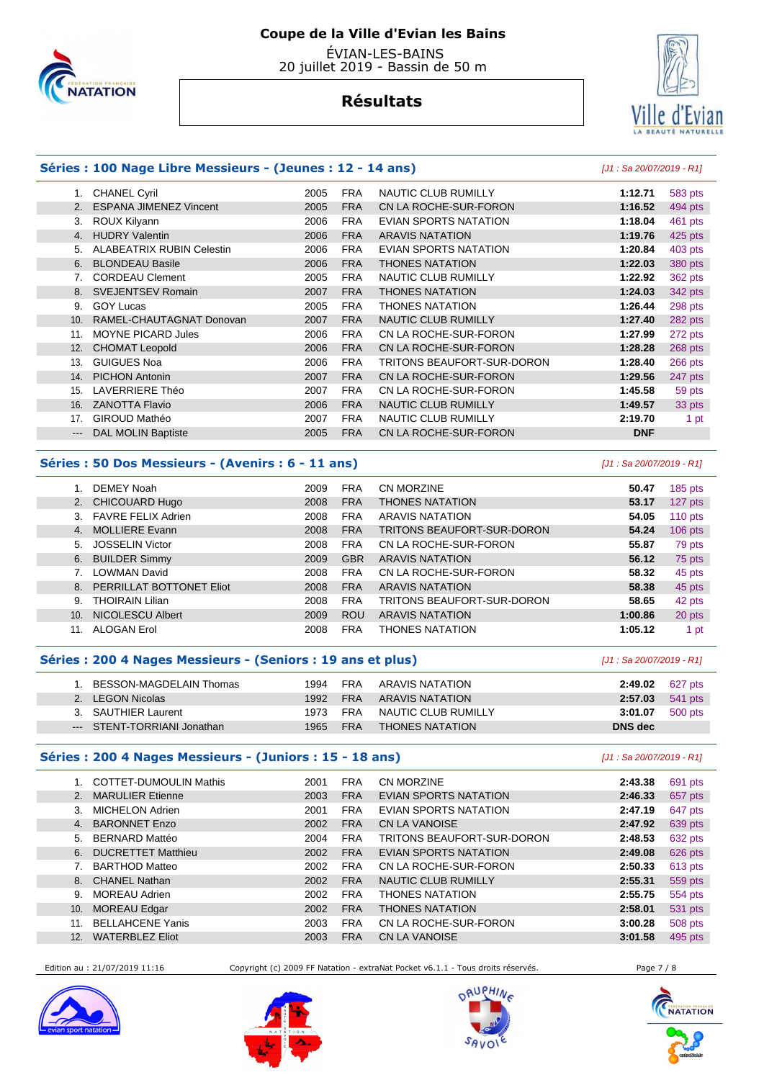

 ÉVIAN-LES-BAINS 20 juillet 2019 - Bassin de 50 m

## vian Ville

#### **Résultats**

#### **Séries : 100 Nage Libre Messieurs - (Jeunes : 12 - 14 ans)** [J1 : Sa 20/07/2019 - R1]

|                  | <b>CHANEL Cyril</b>              | 2005 | <b>FRA</b> | <b>NAUTIC CLUB RUMILLY</b>   | 1:12.71    | 583 pts |
|------------------|----------------------------------|------|------------|------------------------------|------------|---------|
| 2.               | <b>ESPANA JIMENEZ Vincent</b>    | 2005 | <b>FRA</b> | CN LA ROCHE-SUR-FORON        | 1:16.52    | 494 pts |
| 3.               | ROUX Kilyann                     | 2006 | <b>FRA</b> | EVIAN SPORTS NATATION        | 1:18.04    | 461 pts |
| $\overline{4}$ . | <b>HUDRY Valentin</b>            | 2006 | <b>FRA</b> | <b>ARAVIS NATATION</b>       | 1:19.76    | 425 pts |
| 5.               | <b>ALABEATRIX RUBIN Celestin</b> | 2006 | <b>FRA</b> | <b>EVIAN SPORTS NATATION</b> | 1:20.84    | 403 pts |
| 6.               | <b>BLONDEAU Basile</b>           | 2006 | <b>FRA</b> | THONES NATATION              | 1:22.03    | 380 pts |
|                  | <b>CORDEAU Clement</b>           | 2005 | <b>FRA</b> | <b>NAUTIC CLUB RUMILLY</b>   | 1:22.92    | 362 pts |
| 8.               | <b>SVEJENTSEV Romain</b>         | 2007 | <b>FRA</b> | THONES NATATION              | 1:24.03    | 342 pts |
| 9.               | <b>GOY Lucas</b>                 | 2005 | <b>FRA</b> | THONES NATATION              | 1:26.44    | 298 pts |
| 10.              | RAMEL-CHAUTAGNAT Donovan         | 2007 | <b>FRA</b> | <b>NAUTIC CLUB RUMILLY</b>   | 1:27.40    | 282 pts |
| 11.              | <b>MOYNE PICARD Jules</b>        | 2006 | <b>FRA</b> | CN LA ROCHE-SUR-FORON        | 1:27.99    | 272 pts |
| 12.              | <b>CHOMAT Leopold</b>            | 2006 | <b>FRA</b> | CN LA ROCHE-SUR-FORON        | 1:28.28    | 268 pts |
| 13.              | <b>GUIGUES Noa</b>               | 2006 | <b>FRA</b> | TRITONS BEAUFORT-SUR-DORON   | 1:28.40    | 266 pts |
| 14.              | <b>PICHON Antonin</b>            | 2007 | <b>FRA</b> | CN LA ROCHE-SUR-FORON        | 1:29.56    | 247 pts |
| 15.              | LAVERRIERE Théo                  | 2007 | <b>FRA</b> | CN LA ROCHE-SUR-FORON        | 1:45.58    | 59 pts  |
| 16.              | <b>ZANOTTA Flavio</b>            | 2006 | <b>FRA</b> | <b>NAUTIC CLUB RUMILLY</b>   | 1:49.57    | 33 pts  |
| 17.              | GIROUD Mathéo                    | 2007 | <b>FRA</b> | <b>NAUTIC CLUB RUMILLY</b>   | 2:19.70    | 1 pt    |
| $---$            | <b>DAL MOLIN Baptiste</b>        | 2005 | <b>FRA</b> | CN LA ROCHE-SUR-FORON        | <b>DNF</b> |         |
|                  |                                  |      |            |                              |            |         |

#### **Séries : 50 Dos Messieurs - (Avenirs : 6 - 11 ans)** [J1 : Sa 20/07/2019 - R1]

|     | DEMEY Noah               | 2009 | <b>FRA</b> | <b>CN MORZINE</b>          | 50.47   | $185$ pts |
|-----|--------------------------|------|------------|----------------------------|---------|-----------|
|     | 2. CHICOUARD Hugo        | 2008 | <b>FRA</b> | <b>THONES NATATION</b>     | 53.17   | 127 pts   |
|     | 3. FAVRE FELIX Adrien    | 2008 | <b>FRA</b> | <b>ARAVIS NATATION</b>     | 54.05   | $110$ pts |
| 4.  | <b>MOLLIERE Evann</b>    | 2008 | <b>FRA</b> | TRITONS BEAUFORT-SUR-DORON | 54.24   | $106$ pts |
| 5.  | <b>JOSSELIN Victor</b>   | 2008 | <b>FRA</b> | CN LA ROCHE-SUR-FORON      | 55.87   | 79 pts    |
|     | 6. BUILDER Simmy         | 2009 | <b>GBR</b> | <b>ARAVIS NATATION</b>     | 56.12   | 75 pts    |
|     | <b>LOWMAN David</b>      | 2008 | <b>FRA</b> | CN LA ROCHE-SUR-FORON      | 58.32   | 45 pts    |
| 8.  | PERRILLAT BOTTONET Eliot | 2008 | <b>FRA</b> | <b>ARAVIS NATATION</b>     | 58.38   | 45 pts    |
| 9.  | <b>THOIRAIN Lilian</b>   | 2008 | <b>FRA</b> | TRITONS BEAUFORT-SUR-DORON | 58.65   | 42 pts    |
| 10. | <b>NICOLESCU Albert</b>  | 2009 | <b>ROU</b> | <b>ARAVIS NATATION</b>     | 1:00.86 | 20 pts    |
| 11. | ALOGAN Erol              | 2008 | <b>FRA</b> | <b>THONES NATATION</b>     | 1:05.12 | 1 pt      |

#### **Séries : 200 4 Nages Messieurs - (Seniors : 19 ans et plus)** [J1 : Sa 20/07/2019 - R1]

| BESSON-MAGDELAIN Thomas     | 1994 | <b>FRA</b> | ARAVIS NATATION        | 2:49.02                | 627 pts |
|-----------------------------|------|------------|------------------------|------------------------|---------|
| 2. LEGON Nicolas            | 1992 | <b>FRA</b> | ARAVIS NATATION        | <b>2.57.03</b> 541 pts |         |
| 3. SAUTHIER Laurent         | 1973 | <b>FRA</b> | NAUTIC CLUB RUMILLY    | 3:01.07                | 500 pts |
| --- STENT-TORRIANI Jonathan | 1965 | <b>FRA</b> | <b>THONES NATATION</b> | DNS dec                |         |

#### **Séries : 200 4 Nages Messieurs - (Juniors : 15 - 18 ans)** [J1 : Sa 20/07/2019 - R1]

|                | <b>COTTET-DUMOULIN Mathis</b> | 2001 | <b>FRA</b> | CN MORZINE                 | 2:43.38 | 691 pts |
|----------------|-------------------------------|------|------------|----------------------------|---------|---------|
| 2 <sub>1</sub> | <b>MARULIER Etienne</b>       | 2003 | <b>FRA</b> | EVIAN SPORTS NATATION      | 2:46.33 | 657 pts |
| 3.             | <b>MICHELON Adrien</b>        | 2001 | <b>FRA</b> | EVIAN SPORTS NATATION      | 2:47.19 | 647 pts |
| 4.             | <b>BARONNET Enzo</b>          | 2002 | <b>FRA</b> | <b>CN LA VANOISE</b>       | 2:47.92 | 639 pts |
| 5.             | <b>BERNARD Mattéo</b>         | 2004 | <b>FRA</b> | TRITONS BEAUFORT-SUR-DORON | 2:48.53 | 632 pts |
| 6.             | <b>DUCRETTET Matthieu</b>     | 2002 | <b>FRA</b> | EVIAN SPORTS NATATION      | 2:49.08 | 626 pts |
|                | <b>BARTHOD Matteo</b>         | 2002 | <b>FRA</b> | CN LA ROCHE-SUR-FORON      | 2:50.33 | 613 pts |
|                | 8. CHANEL Nathan              | 2002 | <b>FRA</b> | <b>NAUTIC CLUB RUMILLY</b> | 2:55.31 | 559 pts |
| 9.             | <b>MOREAU Adrien</b>          | 2002 | <b>FRA</b> | <b>THONES NATATION</b>     | 2:55.75 | 554 pts |
| 10.            | <b>MOREAU Edgar</b>           | 2002 | <b>FRA</b> | <b>THONES NATATION</b>     | 2:58.01 | 531 pts |
| 11.            | <b>BELLAHCENE Yanis</b>       | 2003 | <b>FRA</b> | CN LA ROCHE-SUR-FORON      | 3:00.28 | 508 pts |
| 12.            | <b>WATERBLEZ Eliot</b>        | 2003 | <b>FRA</b> | <b>CN LA VANOISE</b>       | 3:01.58 | 495 pts |
|                |                               |      |            |                            |         |         |

Edition au : 21/07/2019 11:16 Copyright (c) 2009 FF Natation - extraNat Pocket v6.1.1 - Tous droits réservés. Page 7 / 8